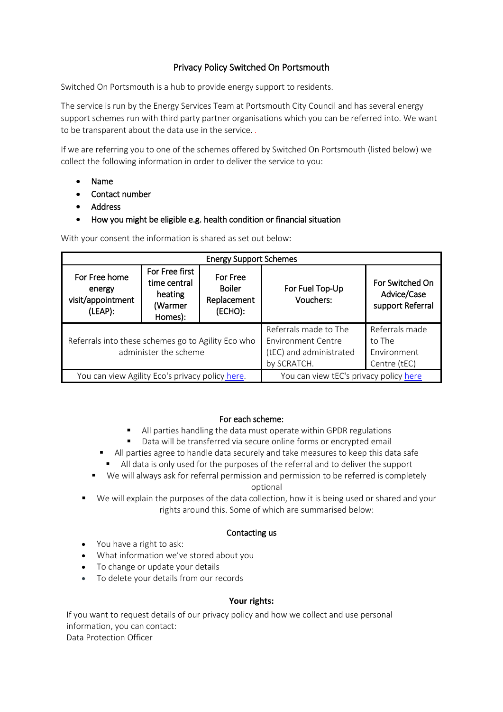# Privacy Policy Switched On Portsmouth

Switched On Portsmouth is a hub to provide energy support to residents.

The service is run by the Energy Services Team at Portsmouth City Council and has several energy support schemes run with third party partner organisations which you can be referred into. We want to be transparent about the data use in the service. *.* 

If we are referring you to one of the schemes offered by Switched On Portsmouth (listed below) we collect the following information in order to deliver the service to you:

- Name
- Contact number
- Address
- How you might be eligible e.g. health condition or financial situation

With your consent the information is shared as set out below:

| <b>Energy Support Schemes</b>                                               |                                                                 |                                                     |                                                                                              |                                                         |
|-----------------------------------------------------------------------------|-----------------------------------------------------------------|-----------------------------------------------------|----------------------------------------------------------------------------------------------|---------------------------------------------------------|
| For Free home<br>energy<br>visit/appointment<br>(LEAP):                     | For Free first<br>time central<br>heating<br>(Warmer<br>Homes): | For Free<br><b>Boiler</b><br>Replacement<br>(ECHO): | For Fuel Top-Up<br>Vouchers:                                                                 | For Switched On<br>Advice/Case<br>support Referral      |
| Referrals into these schemes go to Agility Eco who<br>administer the scheme |                                                                 |                                                     | Referrals made to The<br><b>Environment Centre</b><br>(tEC) and administrated<br>by SCRATCH. | Referrals made<br>to The<br>Environment<br>Centre (tEC) |
| You can view Agility Eco's privacy policy here.                             |                                                                 |                                                     | You can view tEC's privacy policy here                                                       |                                                         |

#### For each scheme:

- All parties handling the data must operate within GPDR regulations
- Data will be transferred via secure online forms or encrypted email
- All parties agree to handle data securely and take measures to keep this data safe
	- All data is only used for the purposes of the referral and to deliver the support
- We will always ask for referral permission and permission to be referred is completely optional
- We will explain the purposes of the data collection, how it is being used or shared and your rights around this. Some of which are summarised below:

## Contacting us

- You have a right to ask:
- What information we've stored about you
- To change or update your details
- To delete your details from our records

## **Your rights:**

If you want to request details of our privacy policy and how we collect and use personal information, you can contact: Data Protection Officer